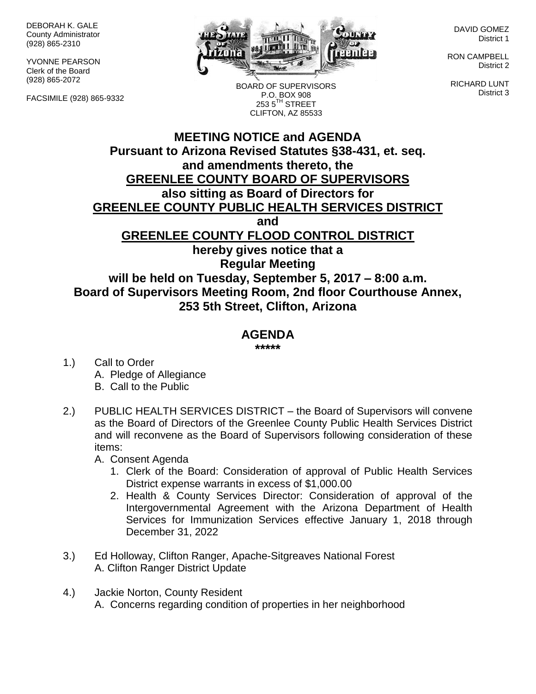DEBORAH K. GALE County Administrator (928) 865-2310

YVONNE PEARSON Clerk of the Board (928) 865-2072

FACSIMILE (928) 865-9332



BOARD OF SUPERVISORS P.O. BOX 908 253 5TH STREET CLIFTON, AZ 85533

DAVID GOMEZ District 1

RON CAMPBELL District 2

RICHARD LUNT District 3

## **MEETING NOTICE and AGENDA Pursuant to Arizona Revised Statutes §38-431, et. seq. and amendments thereto, the GREENLEE COUNTY BOARD OF SUPERVISORS also sitting as Board of Directors for GREENLEE COUNTY PUBLIC HEALTH SERVICES DISTRICT and GREENLEE COUNTY FLOOD CONTROL DISTRICT hereby gives notice that a Regular Meeting will be held on Tuesday, September 5, 2017 – 8:00 a.m. Board of Supervisors Meeting Room, 2nd floor Courthouse Annex, 253 5th Street, Clifton, Arizona**

## **AGENDA**

**\*\*\*\*\***

- 1.) Call to Order A. Pledge of Allegiance B. Call to the Public
- 2.) PUBLIC HEALTH SERVICES DISTRICT the Board of Supervisors will convene as the Board of Directors of the Greenlee County Public Health Services District and will reconvene as the Board of Supervisors following consideration of these items:
	- A. Consent Agenda
		- 1. Clerk of the Board: Consideration of approval of Public Health Services District expense warrants in excess of \$1,000.00
		- 2. Health & County Services Director: Consideration of approval of the Intergovernmental Agreement with the Arizona Department of Health Services for Immunization Services effective January 1, 2018 through December 31, 2022
- 3.) Ed Holloway, Clifton Ranger, Apache-Sitgreaves National Forest A. Clifton Ranger District Update
- 4.) Jackie Norton, County Resident A. Concerns regarding condition of properties in her neighborhood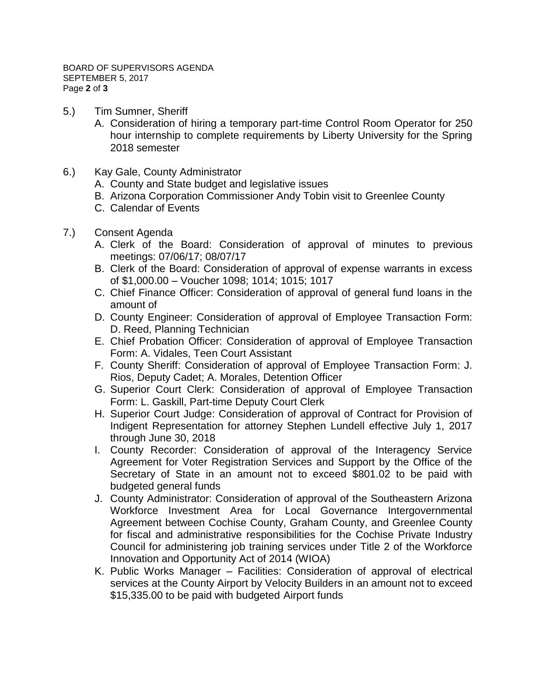- 5.) Tim Sumner, Sheriff
	- A. Consideration of hiring a temporary part-time Control Room Operator for 250 hour internship to complete requirements by Liberty University for the Spring 2018 semester
- 6.) Kay Gale, County Administrator
	- A. County and State budget and legislative issues
	- B. Arizona Corporation Commissioner Andy Tobin visit to Greenlee County
	- C. Calendar of Events
- 7.) Consent Agenda
	- A. Clerk of the Board: Consideration of approval of minutes to previous meetings: 07/06/17; 08/07/17
	- B. Clerk of the Board: Consideration of approval of expense warrants in excess of \$1,000.00 – Voucher 1098; 1014; 1015; 1017
	- C. Chief Finance Officer: Consideration of approval of general fund loans in the amount of
	- D. County Engineer: Consideration of approval of Employee Transaction Form: D. Reed, Planning Technician
	- E. Chief Probation Officer: Consideration of approval of Employee Transaction Form: A. Vidales, Teen Court Assistant
	- F. County Sheriff: Consideration of approval of Employee Transaction Form: J. Rios, Deputy Cadet; A. Morales, Detention Officer
	- G. Superior Court Clerk: Consideration of approval of Employee Transaction Form: L. Gaskill, Part-time Deputy Court Clerk
	- H. Superior Court Judge: Consideration of approval of Contract for Provision of Indigent Representation for attorney Stephen Lundell effective July 1, 2017 through June 30, 2018
	- I. County Recorder: Consideration of approval of the Interagency Service Agreement for Voter Registration Services and Support by the Office of the Secretary of State in an amount not to exceed \$801.02 to be paid with budgeted general funds
	- J. County Administrator: Consideration of approval of the Southeastern Arizona Workforce Investment Area for Local Governance Intergovernmental Agreement between Cochise County, Graham County, and Greenlee County for fiscal and administrative responsibilities for the Cochise Private Industry Council for administering job training services under Title 2 of the Workforce Innovation and Opportunity Act of 2014 (WIOA)
	- K. Public Works Manager Facilities: Consideration of approval of electrical services at the County Airport by Velocity Builders in an amount not to exceed \$15,335.00 to be paid with budgeted Airport funds